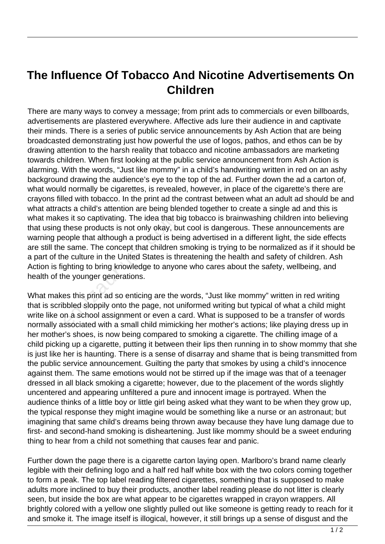## **The Influence Of Tobacco And Nicotine Advertisements On Children**

There are many ways to convey a message; from print ads to commercials or even billboards, advertisements are plastered everywhere. Affective ads lure their audience in and captivate their minds. There is a series of public service announcements by Ash Action that are being broadcasted demonstrating just how powerful the use of logos, pathos, and ethos can be by drawing attention to the harsh reality that tobacco and nicotine ambassadors are marketing towards children. When first looking at the public service announcement from Ash Action is alarming. With the words, "Just like mommy" in a child's handwriting written in red on an ashy background drawing the audience's eye to the top of the ad. Further down the ad a carton of, what would normally be cigarettes, is revealed, however, in place of the cigarette's there are crayons filled with tobacco. In the print ad the contrast between what an adult ad should be and what attracts a child's attention are being blended together to create a single ad and this is what makes it so captivating. The idea that big tobacco is brainwashing children into believing that using these products is not only okay, but cool is dangerous. These announcements are warning people that although a product is being advertised in a different light, the side effects are still the same. The concept that children smoking is trying to be normalized as if it should be a part of the culture in the United States is threatening the health and safety of children. Ash Action is fighting to bring knowledge to anyone who cares about the safety, wellbeing, and health of the younger generations. is it so captivating. The idea that these products is not only okay, b<br>eople that although a product is be<br>exame. The concept that children<br>ne culture in the United States is the<br>ghting to bring knowledge to anyo<br>ne younge

What makes this print ad so enticing are the words, "Just like mommy" written in red writing that is scribbled sloppily onto the page, not uniformed writing but typical of what a child might write like on a school assignment or even a card. What is supposed to be a transfer of words normally associated with a small child mimicking her mother's actions; like playing dress up in her mother's shoes, is now being compared to smoking a cigarette. The chilling image of a child picking up a cigarette, putting it between their lips then running in to show mommy that she is just like her is haunting. There is a sense of disarray and shame that is being transmitted from the public service announcement. Guilting the party that smokes by using a child's innocence against them. The same emotions would not be stirred up if the image was that of a teenager dressed in all black smoking a cigarette; however, due to the placement of the words slightly uncentered and appearing unfiltered a pure and innocent image is portrayed. When the audience thinks of a little boy or little girl being asked what they want to be when they grow up, the typical response they might imagine would be something like a nurse or an astronaut; but imagining that same child's dreams being thrown away because they have lung damage due to first- and second-hand smoking is disheartening. Just like mommy should be a sweet enduring thing to hear from a child not something that causes fear and panic.

Further down the page there is a cigarette carton laying open. Marlboro's brand name clearly legible with their defining logo and a half red half white box with the two colors coming together to form a peak. The top label reading filtered cigarettes, something that is supposed to make adults more inclined to buy their products, another label reading please do not litter is clearly seen, but inside the box are what appear to be cigarettes wrapped in crayon wrappers. All brightly colored with a yellow one slightly pulled out like someone is getting ready to reach for it and smoke it. The image itself is illogical, however, it still brings up a sense of disgust and the